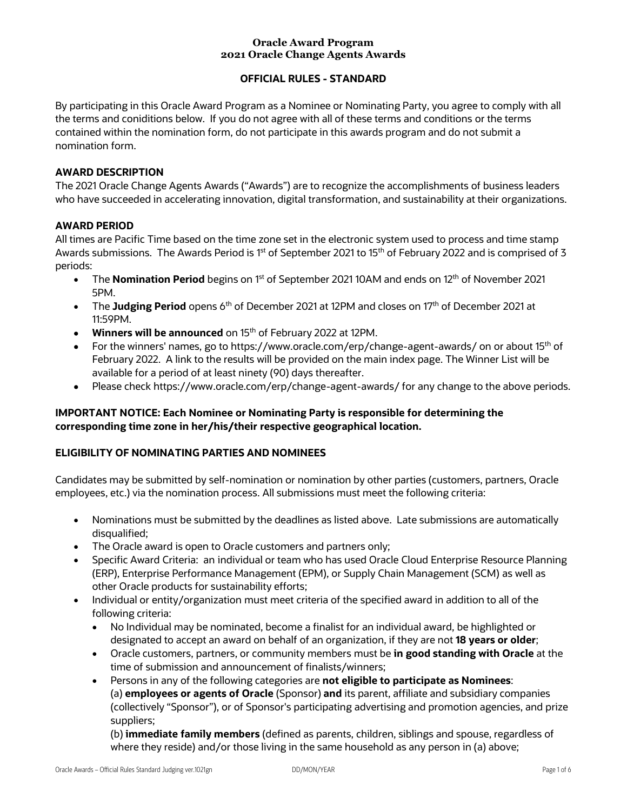#### **Oracle Award Program 2021 Oracle Change Agents Awards**

# **OFFICIAL RULES - STANDARD**

By participating in this Oracle Award Program as a Nominee or Nominating Party, you agree to comply with all the terms and coniditions below. If you do not agree with all of these terms and conditions or the terms contained within the nomination form, do not participate in this awards program and do not submit a nomination form.

### **AWARD DESCRIPTION**

The 2021 Oracle Change Agents Awards ("Awards") are to recognize the accomplishments of business leaders who have succeeded in accelerating innovation, digital transformation, and sustainability at their organizations.

#### **AWARD PERIOD**

All times are Pacific Time based on the time zone set in the electronic system used to process and time stamp Awards submissions. The Awards Period is 1<sup>st</sup> of September 2021 to 15<sup>th</sup> of February 2022 and is comprised of 3 periods:

- The **Nomination Period** begins on 1<sup>st</sup> of September 2021 10AM and ends on 12<sup>th</sup> of November 2021 5PM.
- The Judging Period opens 6<sup>th</sup> of December 2021 at 12PM and closes on 17<sup>th</sup> of December 2021 at 11:59PM.
- **Winners will be announced** on 15th of February 2022 at 12PM.
- For the winners' names, go to https://www.oracle.com/erp/change-agent-awards/ on or about 15<sup>th</sup> of February 2022. A link to the results will be provided on the main index page. The Winner List will be available for a period of at least ninety (90) days thereafter.
- Please check https://www.oracle.com/erp/change-agent-awards/ for any change to the above periods.

## **IMPORTANT NOTICE: Each Nominee or Nominating Party is responsible for determining the corresponding time zone in her/his/their respective geographical location.**

# **ELIGIBILITY OF NOMINATING PARTIES AND NOMINEES**

Candidates may be submitted by self-nomination or nomination by other parties (customers, partners, Oracle employees, etc.) via the nomination process. All submissions must meet the following criteria:

- Nominations must be submitted by the deadlines as listed above. Late submissions are automatically disqualified;
- The Oracle award is open to Oracle customers and partners only;
- Specific Award Criteria: an individual or team who has used Oracle Cloud Enterprise Resource Planning (ERP), Enterprise Performance Management (EPM), or Supply Chain Management (SCM) as well as other Oracle products for sustainability efforts;
- Individual or entity/organization must meet criteria of the specified award in addition to all of the following criteria:
	- No Individual may be nominated, become a finalist for an individual award, be highlighted or designated to accept an award on behalf of an organization, if they are not **18 years or older**;
	- Oracle customers, partners, or community members must be **in good standing with Oracle** at the time of submission and announcement of finalists/winners;
	- Persons in any of the following categories are **not eligible to participate as Nominees**: (a) **employees or agents of Oracle** (Sponsor) **and** its parent, affiliate and subsidiary companies (collectively "Sponsor"), or of Sponsor's participating advertising and promotion agencies, and prize suppliers;

(b) **immediate family members** (defined as parents, children, siblings and spouse, regardless of where they reside) and/or those living in the same household as any person in (a) above;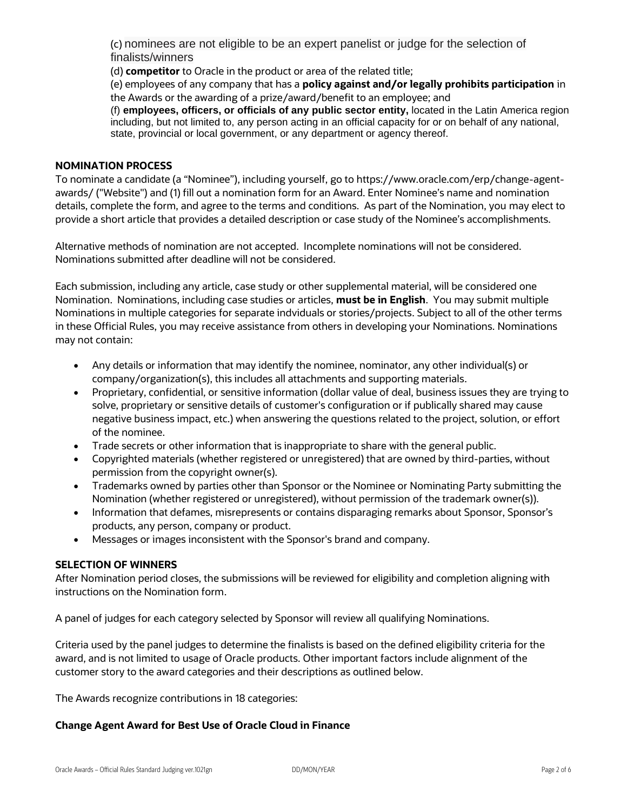(c) nominees are not eligible to be an expert panelist or judge for the selection of finalists/winners

(d) **competitor** to Oracle in the product or area of the related title;

(e) employees of any company that has a **policy against and/or legally prohibits participation** in the Awards or the awarding of a prize/award/benefit to an employee; and

(f) **employees, officers, or officials of any public sector entity,** located in the Latin America region including, but not limited to, any person acting in an official capacity for or on behalf of any national, state, provincial or local government, or any department or agency thereof.

#### **NOMINATION PROCESS**

To nominate a candidate (a "Nominee"), including yourself, go to https://www.oracle.com/erp/change-agentawards/ ("Website") and (1) fill out a nomination form for an Award. Enter Nominee's name and nomination details, complete the form, and agree to the terms and conditions. As part of the Nomination, you may elect to provide a short article that provides a detailed description or case study of the Nominee's accomplishments.

Alternative methods of nomination are not accepted. Incomplete nominations will not be considered. Nominations submitted after deadline will not be considered.

Each submission, including any article, case study or other supplemental material, will be considered one Nomination. Nominations, including case studies or articles, **must be in English**. You may submit multiple Nominations in multiple categories for separate indviduals or stories/projects. Subject to all of the other terms in these Official Rules, you may receive assistance from others in developing your Nominations. Nominations may not contain:

- Any details or information that may identify the nominee, nominator, any other individual(s) or company/organization(s), this includes all attachments and supporting materials.
- Proprietary, confidential, or sensitive information (dollar value of deal, business issues they are trying to solve, proprietary or sensitive details of customer's configuration or if publically shared may cause negative business impact, etc.) when answering the questions related to the project, solution, or effort of the nominee.
- Trade secrets or other information that is inappropriate to share with the general public.
- Copyrighted materials (whether registered or unregistered) that are owned by third-parties, without permission from the copyright owner(s).
- Trademarks owned by parties other than Sponsor or the Nominee or Nominating Party submitting the Nomination (whether registered or unregistered), without permission of the trademark owner(s)).
- Information that defames, misrepresents or contains disparaging remarks about Sponsor, Sponsor's products, any person, company or product.
- Messages or images inconsistent with the Sponsor's brand and company.

#### **SELECTION OF WINNERS**

After Nomination period closes, the submissions will be reviewed for eligibility and completion aligning with instructions on the Nomination form.

A panel of judges for each category selected by Sponsor will review all qualifying Nominations.

Criteria used by the panel judges to determine the finalists is based on the defined eligibility criteria for the award, and is not limited to usage of Oracle products. Other important factors include alignment of the customer story to the award categories and their descriptions as outlined below.

The Awards recognize contributions in 18 categories:

#### **Change Agent Award for Best Use of Oracle Cloud in Finance**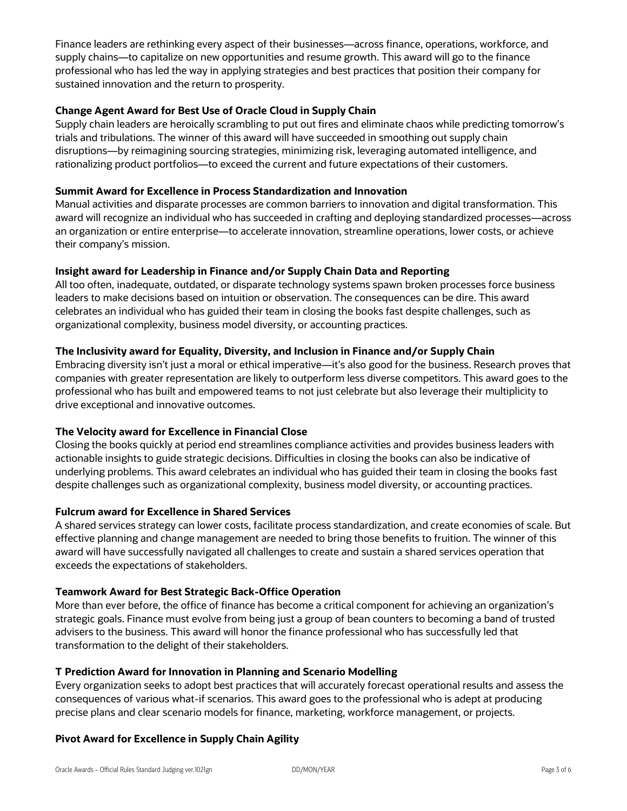Finance leaders are rethinking every aspect of their businesses—across finance, operations, workforce, and supply chains—to capitalize on new opportunities and resume growth. This award will go to the finance professional who has led the way in applying strategies and best practices that position their company for sustained innovation and the return to prosperity.

### **Change Agent Award for Best Use of Oracle Cloud in Supply Chain**

Supply chain leaders are heroically scrambling to put out fires and eliminate chaos while predicting tomorrow's trials and tribulations. The winner of this award will have succeeded in smoothing out supply chain disruptions—by reimagining sourcing strategies, minimizing risk, leveraging automated intelligence, and rationalizing product portfolios—to exceed the current and future expectations of their customers.

#### **Summit Award for Excellence in Process Standardization and Innovation**

Manual activities and disparate processes are common barriers to innovation and digital transformation. This award will recognize an individual who has succeeded in crafting and deploying standardized processes—across an organization or entire enterprise—to accelerate innovation, streamline operations, lower costs, or achieve their company's mission.

#### **Insight award for Leadership in Finance and/or Supply Chain Data and Reporting**

All too often, inadequate, outdated, or disparate technology systems spawn broken processes force business leaders to make decisions based on intuition or observation. The consequences can be dire. This award celebrates an individual who has guided their team in closing the books fast despite challenges, such as organizational complexity, business model diversity, or accounting practices.

### **The Inclusivity award for Equality, Diversity, and Inclusion in Finance and/or Supply Chain**

Embracing diversity isn't just a moral or ethical imperative—it's also good for the business. Research proves that companies with greater representation are likely to outperform less diverse competitors. This award goes to the professional who has built and empowered teams to not just celebrate but also leverage their multiplicity to drive exceptional and innovative outcomes.

#### **The Velocity award for Excellence in Financial Close**

Closing the books quickly at period end streamlines compliance activities and provides business leaders with actionable insights to guide strategic decisions. Difficulties in closing the books can also be indicative of underlying problems. This award celebrates an individual who has guided their team in closing the books fast despite challenges such as organizational complexity, business model diversity, or accounting practices.

#### **Fulcrum award for Excellence in Shared Services**

A shared services strategy can lower costs, facilitate process standardization, and create economies of scale. But effective planning and change management are needed to bring those benefits to fruition. The winner of this award will have successfully navigated all challenges to create and sustain a shared services operation that exceeds the expectations of stakeholders.

#### **Teamwork Award for Best Strategic Back-Office Operation**

More than ever before, the office of finance has become a critical component for achieving an organization's strategic goals. Finance must evolve from being just a group of bean counters to becoming a band of trusted advisers to the business. This award will honor the finance professional who has successfully led that transformation to the delight of their stakeholders.

#### **T Prediction Award for Innovation in Planning and Scenario Modelling**

Every organization seeks to adopt best practices that will accurately forecast operational results and assess the consequences of various what-if scenarios. This award goes to the professional who is adept at producing precise plans and clear scenario models for finance, marketing, workforce management, or projects.

#### **Pivot Award for Excellence in Supply Chain Agility**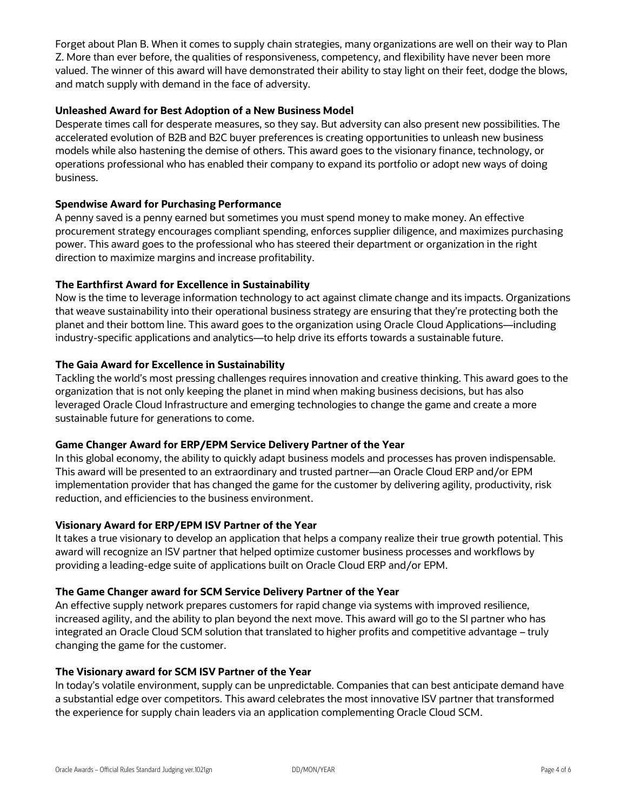Forget about Plan B. When it comes to supply chain strategies, many organizations are well on their way to Plan Z. More than ever before, the qualities of responsiveness, competency, and flexibility have never been more valued. The winner of this award will have demonstrated their ability to stay light on their feet, dodge the blows, and match supply with demand in the face of adversity.

### **Unleashed Award for Best Adoption of a New Business Model**

Desperate times call for desperate measures, so they say. But adversity can also present new possibilities. The accelerated evolution of B2B and B2C buyer preferences is creating opportunities to unleash new business models while also hastening the demise of others. This award goes to the visionary finance, technology, or operations professional who has enabled their company to expand its portfolio or adopt new ways of doing business.

#### **Spendwise Award for Purchasing Performance**

A penny saved is a penny earned but sometimes you must spend money to make money. An effective procurement strategy encourages compliant spending, enforces supplier diligence, and maximizes purchasing power. This award goes to the professional who has steered their department or organization in the right direction to maximize margins and increase profitability.

## **The Earthfirst Award for Excellence in Sustainability**

Now is the time to leverage information technology to act against climate change and its impacts. Organizations that weave sustainability into their operational business strategy are ensuring that they're protecting both the planet and their bottom line. This award goes to the organization using Oracle Cloud Applications—including industry-specific applications and analytics—to help drive its efforts towards a sustainable future.

## **The Gaia Award for Excellence in Sustainability**

Tackling the world's most pressing challenges requires innovation and creative thinking. This award goes to the organization that is not only keeping the planet in mind when making business decisions, but has also leveraged Oracle Cloud Infrastructure and emerging technologies to change the game and create a more sustainable future for generations to come.

#### **Game Changer Award for ERP/EPM Service Delivery Partner of the Year**

In this global economy, the ability to quickly adapt business models and processes has proven indispensable. This award will be presented to an extraordinary and trusted partner—an Oracle Cloud ERP and/or EPM implementation provider that has changed the game for the customer by delivering agility, productivity, risk reduction, and efficiencies to the business environment.

#### **Visionary Award for ERP/EPM ISV Partner of the Year**

It takes a true visionary to develop an application that helps a company realize their true growth potential. This award will recognize an ISV partner that helped optimize customer business processes and workflows by providing a leading-edge suite of applications built on Oracle Cloud ERP and/or EPM.

#### **The Game Changer award for SCM Service Delivery Partner of the Year**

An effective supply network prepares customers for rapid change via systems with improved resilience, increased agility, and the ability to plan beyond the next move. This award will go to the SI partner who has integrated an Oracle Cloud SCM solution that translated to higher profits and competitive advantage – truly changing the game for the customer.

#### **The Visionary award for SCM ISV Partner of the Year**

In today's volatile environment, supply can be unpredictable. Companies that can best anticipate demand have a substantial edge over competitors. This award celebrates the most innovative ISV partner that transformed the experience for supply chain leaders via an application complementing Oracle Cloud SCM.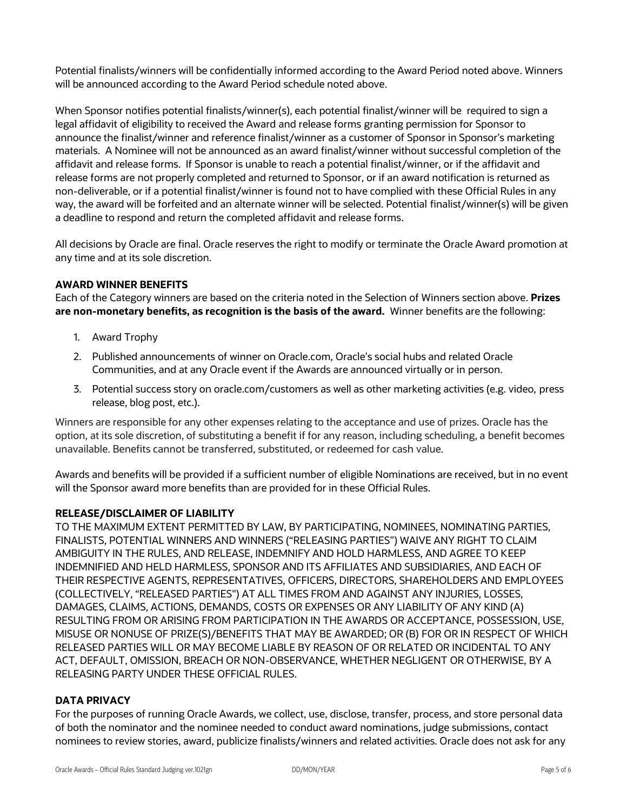Potential finalists/winners will be confidentially informed according to the Award Period noted above. Winners will be announced according to the Award Period schedule noted above.

When Sponsor notifies potential finalists/winner(s), each potential finalist/winner will be required to sign a legal affidavit of eligibility to received the Award and release forms granting permission for Sponsor to announce the finalist/winner and reference finalist/winner as a customer of Sponsor in Sponsor's marketing materials. A Nominee will not be announced as an award finalist/winner without successful completion of the affidavit and release forms. If Sponsor is unable to reach a potential finalist/winner, or if the affidavit and release forms are not properly completed and returned to Sponsor, or if an award notification is returned as non-deliverable, or if a potential finalist/winner is found not to have complied with these Official Rules in any way, the award will be forfeited and an alternate winner will be selected. Potential finalist/winner(s) will be given a deadline to respond and return the completed affidavit and release forms.

All decisions by Oracle are final. Oracle reserves the right to modify or terminate the Oracle Award promotion at any time and at its sole discretion.

# **AWARD WINNER BENEFITS**

Each of the Category winners are based on the criteria noted in the Selection of Winners section above. **Prizes are non-monetary benefits, as recognition is the basis of the award.** Winner benefits are the following:

- 1. Award Trophy
- 2. Published announcements of winner on Oracle.com, Oracle's social hubs and related Oracle Communities, and at any Oracle event if the Awards are announced virtually or in person.
- 3. Potential success story on oracle.com/customers as well as other marketing activities (e.g. video, press release, blog post, etc.).

Winners are responsible for any other expenses relating to the acceptance and use of prizes. Oracle has the option, at its sole discretion, of substituting a benefit if for any reason, including scheduling, a benefit becomes unavailable. Benefits cannot be transferred, substituted, or redeemed for cash value.

Awards and benefits will be provided if a sufficient number of eligible Nominations are received, but in no event will the Sponsor award more benefits than are provided for in these Official Rules.

#### **RELEASE/DISCLAIMER OF LIABILITY**

TO THE MAXIMUM EXTENT PERMITTED BY LAW, BY PARTICIPATING, NOMINEES, NOMINATING PARTIES, FINALISTS, POTENTIAL WINNERS AND WINNERS ("RELEASING PARTIES") WAIVE ANY RIGHT TO CLAIM AMBIGUITY IN THE RULES, AND RELEASE, INDEMNIFY AND HOLD HARMLESS, AND AGREE TO KEEP INDEMNIFIED AND HELD HARMLESS, SPONSOR AND ITS AFFILIATES AND SUBSIDIARIES, AND EACH OF THEIR RESPECTIVE AGENTS, REPRESENTATIVES, OFFICERS, DIRECTORS, SHAREHOLDERS AND EMPLOYEES (COLLECTIVELY, "RELEASED PARTIES") AT ALL TIMES FROM AND AGAINST ANY INJURIES, LOSSES, DAMAGES, CLAIMS, ACTIONS, DEMANDS, COSTS OR EXPENSES OR ANY LIABILITY OF ANY KIND (A) RESULTING FROM OR ARISING FROM PARTICIPATION IN THE AWARDS OR ACCEPTANCE, POSSESSION, USE, MISUSE OR NONUSE OF PRIZE(S)/BENEFITS THAT MAY BE AWARDED; OR (B) FOR OR IN RESPECT OF WHICH RELEASED PARTIES WILL OR MAY BECOME LIABLE BY REASON OF OR RELATED OR INCIDENTAL TO ANY ACT, DEFAULT, OMISSION, BREACH OR NON-OBSERVANCE, WHETHER NEGLIGENT OR OTHERWISE, BY A RELEASING PARTY UNDER THESE OFFICIAL RULES.

#### **DATA PRIVACY**

For the purposes of running Oracle Awards, we collect, use, disclose, transfer, process, and store personal data of both the nominator and the nominee needed to conduct award nominations, judge submissions, contact nominees to review stories, award, publicize finalists/winners and related activities. Oracle does not ask for any